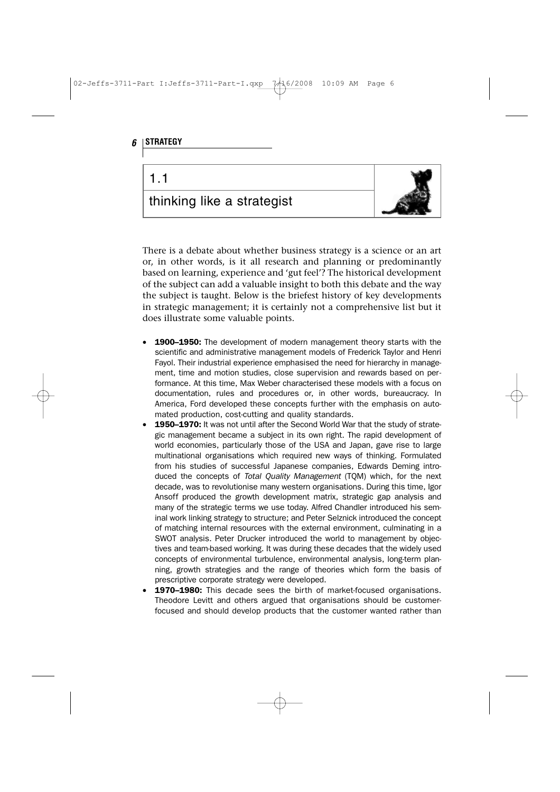

There is a debate about whether business strategy is a science or an art or, in other words, is it all research and planning or predominantly based on learning, experience and 'gut feel'? The historical development of the subject can add a valuable insight to both this debate and the way the subject is taught. Below is the briefest history of key developments in strategic management; it is certainly not a comprehensive list but it does illustrate some valuable points.

- 1900–1950: The development of modern management theory starts with the scientific and administrative management models of Frederick Taylor and Henri Fayol. Their industrial experience emphasised the need for hierarchy in management, time and motion studies, close supervision and rewards based on performance. At this time, Max Weber characterised these models with a focus on documentation, rules and procedures or, in other words, bureaucracy. In America, Ford developed these concepts further with the emphasis on automated production, cost-cutting and quality standards.
- 1950–1970: It was not until after the Second World War that the study of strategic management became a subject in its own right. The rapid development of world economies, particularly those of the USA and Japan, gave rise to large multinational organisations which required new ways of thinking. Formulated from his studies of successful Japanese companies, Edwards Deming introduced the concepts of Total Quality Management (TQM) which, for the next decade, was to revolutionise many western organisations. During this time, Igor Ansoff produced the growth development matrix, strategic gap analysis and many of the strategic terms we use today. Alfred Chandler introduced his seminal work linking strategy to structure; and Peter Selznick introduced the concept of matching internal resources with the external environment, culminating in a SWOT analysis. Peter Drucker introduced the world to management by objectives and team-based working. It was during these decades that the widely used concepts of environmental turbulence, environmental analysis, long-term planning, growth strategies and the range of theories which form the basis of prescriptive corporate strategy were developed.
- 1970–1980: This decade sees the birth of market-focused organisations. Theodore Levitt and others argued that organisations should be customerfocused and should develop products that the customer wanted rather than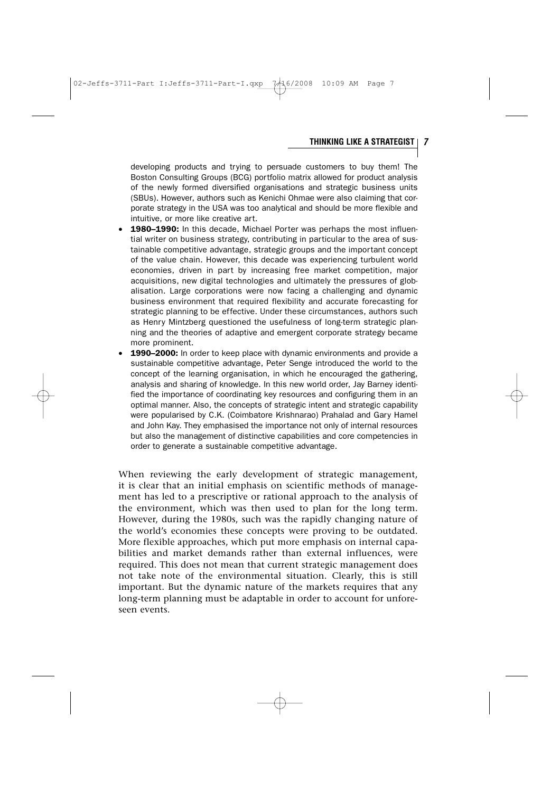## **THINKING LIKE A STRATEGIST 7**

developing products and trying to persuade customers to buy them! The Boston Consulting Groups (BCG) portfolio matrix allowed for product analysis of the newly formed diversified organisations and strategic business units (SBUs). However, authors such as Kenichi Ohmae were also claiming that corporate strategy in the USA was too analytical and should be more flexible and intuitive, or more like creative art.

- 1980-1990: In this decade, Michael Porter was perhaps the most influential writer on business strategy, contributing in particular to the area of sustainable competitive advantage, strategic groups and the important concept of the value chain. However, this decade was experiencing turbulent world economies, driven in part by increasing free market competition, major acquisitions, new digital technologies and ultimately the pressures of globalisation. Large corporations were now facing a challenging and dynamic business environment that required flexibility and accurate forecasting for strategic planning to be effective. Under these circumstances, authors such as Henry Mintzberg questioned the usefulness of long-term strategic planning and the theories of adaptive and emergent corporate strategy became more prominent.
- 1990-2000: In order to keep place with dynamic environments and provide a sustainable competitive advantage, Peter Senge introduced the world to the concept of the learning organisation, in which he encouraged the gathering, analysis and sharing of knowledge. In this new world order, Jay Barney identified the importance of coordinating key resources and configuring them in an optimal manner. Also, the concepts of strategic intent and strategic capability were popularised by C.K. (Coimbatore Krishnarao) Prahalad and Gary Hamel and John Kay. They emphasised the importance not only of internal resources but also the management of distinctive capabilities and core competencies in order to generate a sustainable competitive advantage.

When reviewing the early development of strategic management, it is clear that an initial emphasis on scientific methods of management has led to a prescriptive or rational approach to the analysis of the environment, which was then used to plan for the long term. However, during the 1980s, such was the rapidly changing nature of the world's economies these concepts were proving to be outdated. More flexible approaches, which put more emphasis on internal capabilities and market demands rather than external influences, were required. This does not mean that current strategic management does not take note of the environmental situation. Clearly, this is still important. But the dynamic nature of the markets requires that any long-term planning must be adaptable in order to account for unforeseen events.